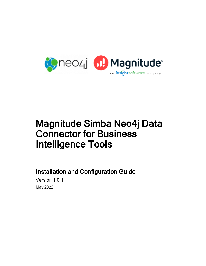

# Magnitude Simba Neo4j Data Connector for Business Intelligence Tools

Installation and Configuration Guide Version 1.0.1

May 2022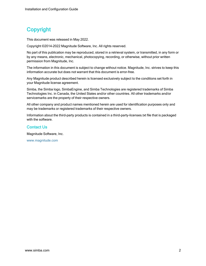# **Copyright**

This document was released in May 2022.

Copyright ©2014–2022 Magnitude Software, Inc. All rights reserved.

No part of this publication may be reproduced, stored in a retrieval system, or transmitted, in any form or by any means, electronic, mechanical, photocopying, recording, or otherwise, without prior written permission from Magnitude, Inc.

The information in this document is subject to change without notice. Magnitude, Inc. strives to keep this information accurate but does not warrant that this document is error-free.

Any Magnitude product described herein is licensed exclusively subject to the conditions set forth in your Magnitude license agreement.

Simba, the Simba logo, SimbaEngine, and Simba Technologies are registered trademarks of Simba Technologies Inc. in Canada, the United States and/or other countries. All other trademarks and/or servicemarks are the property of their respective owners.

All other company and product names mentioned herein are used for identification purposes only and may be trademarks or registered trademarks of their respective owners.

Information about the third-party products is contained in a third-party-licenses.txt file that is packaged with the software.

#### Contact Us

Magnitude Software, Inc.

[www.magnitude.com](http://www.simba.com/)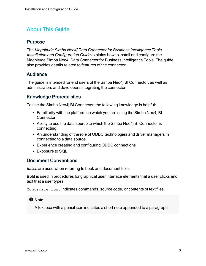# About This Guide

# Purpose

The Magnitude Simba Neo4j Data Connector for Business Intelligence Tools Installation and Configuration Guide explains how to install and configure the Magnitude Simba Neo4j Data Connector for Business Intelligence Tools. The guide also provides details related to features of the connector.

# Audience

The guide is intended for end users of the Simba Neo4j BI Connector, as well as administrators and developers integrating the connector.

# Knowledge Prerequisites

To use the Simba Neo4j BI Connector, the following knowledge is helpful:

- Familiarity with the platform on which you are using the Simba Neo4j BI **Connector**
- Ability to use the data source to which the Simba Neo4j BI Connector is connecting
- An understanding of the role of ODBC technologies and driver managers in connecting to a data source
- Experience creating and configuring ODBC connections
- Exposure to SQL

# Document Conventions

Italics are used when referring to book and document titles.

Bold is used in procedures for graphical user interface elements that a user clicks and text that a user types.

Monospace font indicates commands, source code, or contents of text files.

#### **f** Note:

A text box with a pencil icon indicates a short note appended to a paragraph.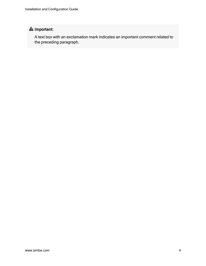# **A** Important:

A text box with an exclamation mark indicates an important comment related to the preceding paragraph.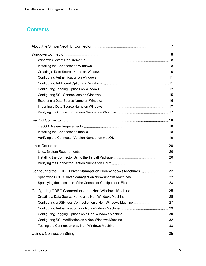# <span id="page-4-0"></span>**Contents**

| Installing the Connector on Windows Material Connection of the Connector on Windows Material Connection of the S |  |
|------------------------------------------------------------------------------------------------------------------|--|
|                                                                                                                  |  |
|                                                                                                                  |  |
|                                                                                                                  |  |
|                                                                                                                  |  |
|                                                                                                                  |  |
|                                                                                                                  |  |
|                                                                                                                  |  |
|                                                                                                                  |  |
|                                                                                                                  |  |
|                                                                                                                  |  |
|                                                                                                                  |  |
|                                                                                                                  |  |
|                                                                                                                  |  |
|                                                                                                                  |  |
|                                                                                                                  |  |
|                                                                                                                  |  |
| Configuring the ODBC Driver Manager on Non-Windows Machines 22                                                   |  |
|                                                                                                                  |  |
|                                                                                                                  |  |
|                                                                                                                  |  |
|                                                                                                                  |  |
|                                                                                                                  |  |
|                                                                                                                  |  |
|                                                                                                                  |  |
|                                                                                                                  |  |
|                                                                                                                  |  |
|                                                                                                                  |  |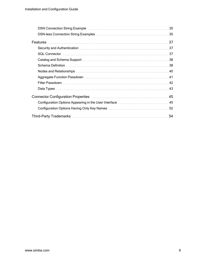| Security and Authentication manufactured and annual security and Authentication manufactured and states and st |
|----------------------------------------------------------------------------------------------------------------|
|                                                                                                                |
|                                                                                                                |
|                                                                                                                |
|                                                                                                                |
|                                                                                                                |
|                                                                                                                |
|                                                                                                                |
|                                                                                                                |
|                                                                                                                |
|                                                                                                                |
| 54                                                                                                             |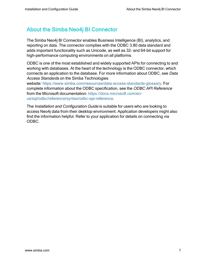# <span id="page-6-0"></span>About the Simba Neo4j BI Connector

The Simba Neo4j BI Connector enables Business Intelligence (BI), analytics, and reporting on data. The connector complies with the ODBC 3.80 data standard and adds important functionality such as Unicode, as well as 32- and 64-bit support for high-performance computing environments on all platforms.

ODBC is one of the most established and widely supported APIs for connecting to and working with databases. At the heart of the technology is the ODBC connector, which connects an application to the database. For more information about ODBC, see Data Access Standards on the Simba Technologies

website:<https://www.simba.com/resources/data-access-standards-glossary>. For complete information about the ODBC specification, see the ODBC API Reference from the Microsoft documentation: [https://docs.microsoft.com/en](https://docs.microsoft.com/en-us/sql/odbc/reference/syntax/odbc-api-reference)[us/sql/odbc/reference/syntax/odbc-api-reference](https://docs.microsoft.com/en-us/sql/odbc/reference/syntax/odbc-api-reference).

The Installation and Configuration Guide is suitable for users who are looking to access Neo4j data from their desktop environment. Application developers might also find the information helpful. Refer to your application for details on connecting via ODBC.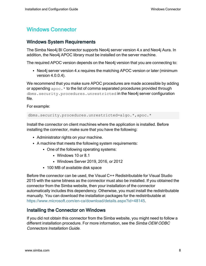# <span id="page-7-0"></span>Windows Connector

# <span id="page-7-1"></span>Windows System Requirements

The Simba Neo4j BI Connector supports Neo4j server version 4.x and Neo4j Aura. In addition, the Neo4j APOC library must be installed on the server machine.

The required APOC version depends on the Neo4j version that you are connecting to:

• Neo4j server version 4.x requires the matching APOC version or later (minimum version 4.0.0.4).

We recommend that you make sure APOC procedures are made accessible by adding or appending  $apoc.*$  to the list of comma separated procedures provided through dbms.security.procedures.unrestricted in the Neo4j server configuration file.

For example:

dbms.security.procedures.unrestricted=algo.\*,apoc.\*

Install the connector on client machines where the application is installed. Before installing the connector, make sure that you have the following:

- Administrator rights on your machine.
- A machine that meets the following system requirements:
	- One of the following operating systems:
		- Windows 10 or 8.1
		- Windows Server 2019, 2016, or 2012
	- 100 MB of available disk space

Before the connector can be used, the Visual C++ Redistributable for Visual Studio 2015 with the same bitness as the connector must also be installed. If you obtained the connector from the Simba website, then your installation of the connector automatically includes this dependency. Otherwise, you must install the redistributable manually. You can download the installation packages for the redistributable at <https://www.microsoft.com/en-ca/download/details.aspx?id=48145>.

# <span id="page-7-2"></span>Installing the Connector on Windows

If you did not obtain this connector from the Simba website, you might need to follow a different installation procedure. For more information, see the Simba OEM ODBC Connectors Installation Guide.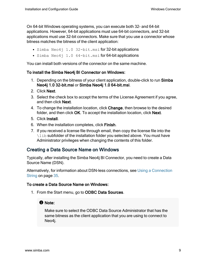On 64-bit Windows operating systems, you can execute both 32- and 64-bit applications. However, 64-bit applications must use 64-bit connectors, and 32-bit applications must use 32-bit connectors. Make sure that you use a connector whose bitness matches the bitness of the client application:

- $\bullet$  Simba Neo4j 1.0 32-bit.msi for 32-bit applications
- $\bullet$  Simba Neo4 $\dot{1}$  1.0 64-bit.msi for 64-bit applications

You can install both versions of the connector on the same machine.

#### To install the Simba Neo4j BI Connector on Windows:

- 1. Depending on the bitness of your client application, double-click to run Simba Neo4j 1.0 32-bit.msi or Simba Neo4j 1.0 64-bit.msi.
- 2. Click Next.
- 3. Select the check box to accept the terms of the License Agreement if you agree, and then click **Next**.
- 4. To change the installation location, click Change, then browse to the desired folder, and then click OK. To accept the installation location, click Next.
- 5. Click Install.
- 6. When the installation completes, click Finish.
- 7. If you received a license file through email, then copy the license file into the \lib subfolder of the installation folder you selected above. You must have Administrator privileges when changing the contents of this folder.

# <span id="page-8-0"></span>Creating a Data Source Name on Windows

Typically, after installing the Simba Neo4j BI Connector, you need to create a Data Source Name (DSN).

Alternatively, for information about DSN-less connections, see Using a [Connection](#page-34-0) [String](#page-34-0) on page 35.

#### To create a Data Source Name on Windows:

1. From the Start menu, go to ODBC Data Sources.

# **f** Note:

Make sure to select the ODBC Data Source Administrator that has the same bitness as the client application that you are using to connect to Neo4j.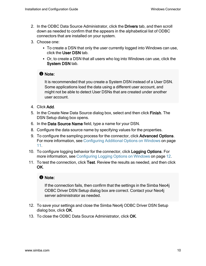- 2. In the ODBC Data Source Administrator, click the Drivers tab, and then scroll down as needed to confirm that the appears in the alphabetical list of ODBC connectors that are installed on your system.
- 3. Choose one:
	- To create a DSN that only the user currently logged into Windows can use, click the User DSN tab.
	- Or, to create a DSN that all users who log into Windows can use, click the System DSN tab.

#### **f** Note:

It is recommended that you create a System DSN instead of a User DSN. Some applications load the data using a different user account, and might not be able to detect User DSNs that are created under another user account.

- 4. Click Add.
- 5. In the Create New Data Source dialog box, select and then click Finish. The DSN Setup dialog box opens.
- 6. In the Data Source Name field, type a name for your DSN.
- 8. Configure the data source name by specifying values for the properties.
- 9. To configure the sampling process for the connector, click Advanced Options. For more information, see [Configuring](#page-10-1) Additional Options on Windows on page [11.](#page-10-1)
- 10. To configure logging behavior for the connector, click Logging Options. For more information, see [Configuring](#page-11-0) Logging Options on Windows on page 12.
- 11. To test the connection, click Test. Review the results as needed, and then click OK.

#### **f** Note:

If the connection fails, then confirm that the settings in the Simba Neo4j ODBC Driver DSN Setup dialog box are correct. Contact your Neo4j server administrator as needed.

- 12. To save your settings and close the Simba Neo4j ODBC Driver DSN Setup dialog box, click OK.
- 13. To close the ODBC Data Source Administrator, click OK.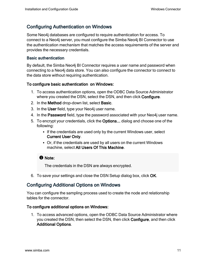# <span id="page-10-0"></span>Configuring Authentication on Windows

Some Neo4j databases are configured to require authentication for access. To connect to a Neo4j server, you must configure the Simba Neo4j BI Connector to use the authentication mechanism that matches the access requirements of the server and provides the necessary credentials.

#### Basic authentication

By default, the Simba Neo4j BI Connector requires a user name and password when connecting to a Neo4j data store. You can also configure the connector to connect to the data store without requiring authentication.

#### To configure basic authentication on Windows:

- 1. To access authentication options, open the ODBC Data Source Administrator where you created the DSN, select the DSN, and then click Configure.
- 2. In the Method drop-down list, select Basic.
- 3. In the User field, type your Neo4j user name.
- 4. In the Password field, type the password associated with your Neo4j user name.
- 5. To encrypt your credentials, click the Options... dialog and choose one of the following:
	- If the credentials are used only by the current Windows user, select Current User Only.
	- Or, if the credentials are used by all users on the current Windows machine, select All Users Of This Machine.

# **f** Note:

The credentials in the DSN are always encrypted.

<span id="page-10-1"></span>6. To save your settings and close the DSN Setup dialog box, click OK.

# Configuring Additional Options on Windows

You can configure the sampling process used to create the node and relationship tables for the connector.

#### To configure additional options on Windows:

1. To access advanced options, open the ODBC Data Source Administrator where you created the DSN, then select the DSN, then click Configure, and then click Additional Options.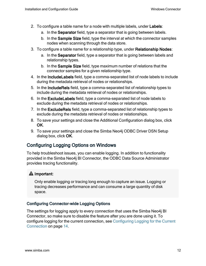- 2. To configure a table name for a node with multiple labels, under Labels:
	- a. In the Separator field, type a separator that is going between labels.
	- b. In the Sample Size field, type the interval at which the connector samples nodes when scanning through the data store.
- 3. To configure a table name for a relationship type, under Relationship Nodes:
	- a. In the Separator field, type a separator that is going between labels and relationship types.
	- b. In the Sample Size field, type maximum number of relations that the connector samples for a given relationship type.
- 4. In the IncludeLabels field, type a comma-separated list of node labels to include during the metadata retrieval of nodes or relationships.
- 5. In the IncludeRels field, type a comma-separated list of relationship types to include during the metadata retrieval of nodes or relationships.
- 6. In the ExcludeLabels field, type a comma-separated list of node labels to exclude during the metadata retrieval of nodes or relationships.
- 7. In the ExcludeRels field, type a comma-separated list of relationship types to exclude during the metadata retrieval of nodes or relationships.
- 8. To save your settings and close the Additional Configuration dialog box, click OK.
- 9. To save your settings and close the Simba Neo4j ODBC Driver DSN Setup dialog box, click OK.

# <span id="page-11-0"></span>Configuring Logging Options on Windows

To help troubleshoot issues, you can enable logging. In addition to functionality provided in the Simba Neo4j BI Connector, the ODBC Data Source Administrator provides tracing functionality.

# **A** Important:

Only enable logging or tracing long enough to capture an issue. Logging or tracing decreases performance and can consume a large quantity of disk space.

# Configuring Connector-wide Logging Options

The settings for logging apply to every connection that uses the Simba Neo4j BI Connector, so make sure to disable the feature after you are done using it. To configure logging for the current connection, see [Configuring](#page-13-0) Logging for the Current [Connection](#page-13-0) on page 14.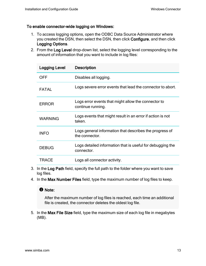#### To enable connector-wide logging on Windows:

- 1. To access logging options, open the ODBC Data Source Administrator where you created the DSN, then select the DSN, then click Configure, and then click Logging Options.
- 2. From the Log Level drop-down list, select the logging level corresponding to the amount of information that you want to include in log files:

| <b>Logging Level</b> | <b>Description</b>                                                        |
|----------------------|---------------------------------------------------------------------------|
| <b>OFF</b>           | Disables all logging.                                                     |
| <b>FATAL</b>         | Logs severe error events that lead the connector to abort.                |
| <b>ERROR</b>         | Logs error events that might allow the connector to<br>continue running.  |
| <b>WARNING</b>       | Logs events that might result in an error if action is not<br>taken.      |
| <b>INFO</b>          | Logs general information that describes the progress of<br>the connector. |
| <b>DEBUG</b>         | Logs detailed information that is useful for debugging the<br>connector.  |
| TRACE                | Logs all connector activity.                                              |

- 3. In the Log Path field, specify the full path to the folder where you want to save log files.
- 4. In the Max Number Files field, type the maximum number of log files to keep.

#### **O** Note:

After the maximum number of log files is reached, each time an additional file is created, the connector deletes the oldest log file.

5. In the Max File Size field, type the maximum size of each log file in megabytes (MB).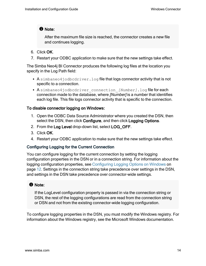#### **f** Note:

After the maximum file size is reached, the connector creates a new file and continues logging.

- 6. Click OK.
- 7. Restart your ODBC application to make sure that the new settings take effect.

The Simba Neo4j BI Connector produces the following log files at the location you specify in the Log Path field:

- A simbaneo4jodbcdriver.log file that logs connector activity that is not specific to a connection.
- A simbaneo4jodbcdriver connection *[Number]*.log file for each connection made to the database, where [Number] is a number that identifies each log file. This file logs connector activity that is specific to the connection.

#### To disable connector logging on Windows:

- 1. Open the ODBC Data Source Administrator where you created the DSN, then select the DSN, then click Configure, and then click Logging Options.
- 2. From the Log Level drop-down list, select LOG\_OFF.
- 3. Click OK.
- 4. Restart your ODBC application to make sure that the new settings take effect.

#### <span id="page-13-0"></span>Configuring Logging for the Current Connection

You can configure logging for the current connection by setting the logging configuration properties in the DSN or in a connection string. For information about the logging configuration properties, see [Configuring](#page-11-0) Logging Options on Windows on [page](#page-11-0) 12. Settings in the connection string take precedence over settings in the DSN, and settings in the DSN take precedence over connector-wide settings.

#### **f** Note:

If the LogLevel configuration property is passed in via the connection string or DSN, the rest of the logging configurations are read from the connection string or DSN and not from the existing connector-wide logging configuration.

To configure logging properties in the DSN, you must modify the Windows registry. For information about the Windows registry, see the Microsoft Windows documentation.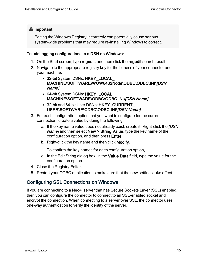# **A** Important:

Editing the Windows Registry incorrectly can potentially cause serious, system-wide problems that may require re-installing Windows to correct.

#### To add logging configurations to a DSN on Windows:

- 1. On the Start screen, type regedit, and then click the regedit search result.
- 2. Navigate to the appropriate registry key for the bitness of your connector and your machine:
	- 32-bit System DSNs: HKEY\_LOCAL MACHINE\SOFTWARE\WOW6432Node\ODBC\ODBC.INI\[DSN Name]
	- 64-bit System DSNs: HKEY\_LOCAL MACHINE\SOFTWARE\ODBC\ODBC.INI\[DSN Name]
	- 32-bit and 64-bit User DSNs: HKEY\_CURRENT\_ USER\SOFTWARE\ODBC\ODBC.INI\[DSN Name]
- 3. For each configuration option that you want to configure for the current connection, create a value by doing the following:
	- a. If the key name value does not already exist, create it. Right-click the *[DSN* Name] and then select New > String Value, type the key name of the configuration option, and then press Enter.
	- b. Right-click the key name and then click Modify.

To confirm the key names for each configuration option, .

- c. In the Edit String dialog box, in the Value Data field, type the value for the configuration option.
- 4. Close the Registry Editor.
- 5. Restart your ODBC application to make sure that the new settings take effect.

# <span id="page-14-0"></span>Configuring SSL Connections on Windows

If you are connecting to a Neo4j server that has Secure Sockets Layer (SSL) enabled, then you can configure the connector to connect to an SSL-enabled socket and encrypt the connection. When connecting to a server over SSL, the connector uses one-way authentication to verify the identity of the server.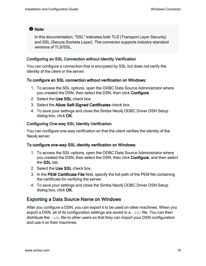#### **f** Note:

In this documentation, "SSL" indicates both TLS (Transport Layer Security) and SSL (Secure Sockets Layer). The connector supports industry-standard versions of TLS/SSL.

#### Configuring an SSL Connection without Identity Verification

You can configure a connection that is encrypted by SSL but does not verify the identity of the client or the server.

#### To configure an SSL connection without verification on Windows:

- 1. To access the SSL options, open the ODBC Data Source Administrator where you created the DSN, then select the DSN, then click Configure.
- 2. Select the Use SSL check box.
- 3. Select the Allow Self-Signed Certificates check box.
- 4. To save your settings and close the Simba Neo4j ODBC Driver DSN Setup dialog box, click OK.

#### Configuring One-way SSL Identity Verification

You can configure one-way verification so that the client verifies the identity of the Neo4j server.

#### To configure one-way SSL identity verification on Windows:

- 1. To access the SSL options, open the ODBC Data Source Administrator where you created the DSN, then select the DSN, then click Configure, and then select the SSL tab.
- 2. Select the Use SSL check box.
- 3. In the PEM Certificate File field, specify the full path of the PEM file containing the certificate for verifying the server.
- 4. To save your settings and close the Simba Neo4j ODBC Driver DSN Setup dialog box, click OK.

# <span id="page-15-0"></span>Exporting a Data Source Name on Windows

After you configure a DSN, you can export it to be used on other machines. When you export a DSN, all of its configuration settings are saved in a  $.$  sdc file. You can then distribute the  $\cdot$  sdc file to other users so that they can import your DSN configuration and use it on their machines.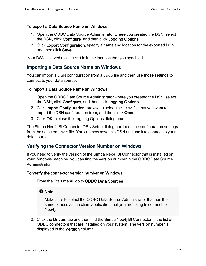#### To export a Data Source Name on Windows:

- 1. Open the ODBC Data Source Administrator where you created the DSN, select the DSN, click Configure, and then click Logging Options.
- 2. Click Export Configuration, specify a name and location for the exported DSN, and then click Save.

<span id="page-16-0"></span>Your DSN is saved as a . sdc file in the location that you specified.

# Importing a Data Source Name on Windows

You can import a DSN configuration from a  $.$  sdc file and then use those settings to connect to your data source.

#### To import a Data Source Name on Windows:

- 1. Open the ODBC Data Source Administrator where you created the DSN, select the DSN, click Configure, and then click Logging Options.
- 2. Click Import Configuration, browse to select the . sdc file that you want to import the DSN configuration from, and then click Open.
- 3. Click OK to close the Logging Options dialog box.

The Simba Neo4j BI Connector DSN Setup dialog box loads the configuration settings from the selected . sdc file. You can now save this DSN and use it to connect to your data source.

# <span id="page-16-1"></span>Verifying the Connector Version Number on Windows

If you need to verify the version of the Simba Neo4j BI Connector that is installed on your Windows machine, you can find the version number in the ODBC Data Source Administrator.

#### To verify the connector version number on Windows:

1. From the Start menu, go to ODBC Data Sources.

#### **f** Note:

Make sure to select the ODBC Data Source Administrator that has the same bitness as the client application that you are using to connect to Neo4j.

2. Click the Drivers tab and then find the Simba Neo4j BI Connector in the list of ODBC connectors that are installed on your system. The version number is displayed in the Version column.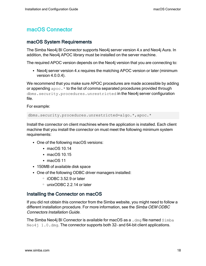# <span id="page-17-0"></span>macOS Connector

# <span id="page-17-1"></span>macOS System Requirements

The Simba Neo4j BI Connector supports Neo4j server version 4.x and Neo4j Aura. In addition, the Neo4j APOC library must be installed on the server machine.

The required APOC version depends on the Neo4j version that you are connecting to:

• Neo4j server version 4.x requires the matching APOC version or later (minimum version 4.0.0.4).

We recommend that you make sure APOC procedures are made accessible by adding or appending  $apoc.*$  to the list of comma separated procedures provided through dbms.security.procedures.unrestricted in the Neo4j server configuration file.

For example:

dbms.security.procedures.unrestricted=algo.\*,apoc.\*

Install the connector on client machines where the application is installed. Each client machine that you install the connector on must meet the following minimum system requirements:

- One of the following macOS versions:
	- $\cdot$  macOS 10.14
	- $\cdot$  macOS 10.15
	- $\cdot$  macOS 11
- 150MB of available disk space
- One of the following ODBC driver managers installed:
	- iODBC 3.52.9 or later
	- <sup>o</sup> unixODBC 2.2.14 or later

# <span id="page-17-2"></span>Installing the Connector on macOS

If you did not obtain this connector from the Simba website, you might need to follow a different installation procedure. For more information, see the Simba OEM ODBC Connectors Installation Guide.

The Simba Neo4j BI Connector is available for macOS as a .  $dmq$  file named  $Simba$  $N\in\{0.4\}$  1.0. dmg. The connector supports both 32- and 64-bit client applications.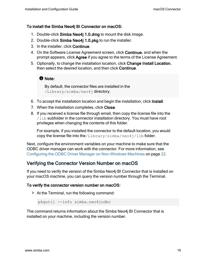#### To install the Simba Neo4j BI Connector on macOS:

- 1. Double-click Simba Neo4j 1.0.dmg to mount the disk image.
- 2. Double-click Simba Neo4j 1.0.pkg to run the installer.
- 3. In the installer, click Continue.
- 4. On the Software License Agreement screen, click Continue, and when the prompt appears, click Agree if you agree to the terms of the License Agreement.
- 5. Optionally, to change the installation location, click Change Install Location, then select the desired location, and then click Continue.

#### **f** Note:

By default, the connector files are installed in the /Library/simba/neo4j directory.

- 6. To accept the installation location and begin the installation, click Install.
- 7. When the installation completes, click Close.
- 8. If you received a license file through email, then copy the license file into the  $/1$ ib subfolder in the connector installation directory. You must have root privileges when changing the contents of this folder.

For example, if you installed the connector to the default location, you would copy the license file into the/Library/simba/neo4j/lib folder.

Next, configure the environment variables on your machine to make sure that the ODBC driver manager can work with the connector. For more information, see Configuring the ODBC Driver Manager on [Non-Windows](#page-21-0) Machines on page 22.

# <span id="page-18-0"></span>Verifying the Connector Version Number on macOS

If you need to verify the version of the Simba Neo4j BI Connector that is installed on your macOS machine, you can query the version number through the Terminal.

#### To verify the connector version number on macOS:

 $\triangleright$  At the Terminal, run the following command:

pkgutil --info simba.neo4jodbc

The command returns information about the Simba Neo4j BI Connector that is installed on your machine, including the version number.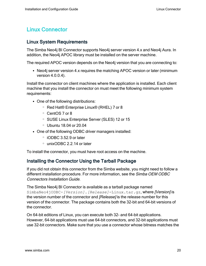# <span id="page-19-0"></span>Linux Connector

# <span id="page-19-1"></span>Linux System Requirements

The Simba Neo4j BI Connector supports Neo4j server version 4.x and Neo4j Aura. In addition, the Neo4j APOC library must be installed on the server machine.

The required APOC version depends on the Neo4j version that you are connecting to:

• Neo4j server version 4.x requires the matching APOC version or later (minimum version 4.0.0.4).

Install the connector on client machines where the application is installed. Each client machine that you install the connector on must meet the following minimum system requirements:

- One of the following distributions:
	- <sup>o</sup> Red Hat® Enterprise Linux® (RHEL) 7 or 8
	- <sup>o</sup> CentOS 7 or 8
	- <sup>o</sup> SUSE Linux Enterprise Server (SLES) 12 or 15
	- <sup>o</sup> Ubuntu 18.04 or 20.04
- One of the following ODBC driver managers installed:
	- $\degree$  iODBC 3.52.9 or later
	- <sup>o</sup> unixODBC 2.2.14 or later

<span id="page-19-2"></span>To install the connector, you must have root access on the machine.

# Installing the Connector Using the Tarball Package

If you did not obtain this connector from the Simba website, you might need to follow a different installation procedure. For more information, see the Simba OEM ODBC Connectors Installation Guide.

The Simba Neo4j BI Connector is available as a tarball package named SimbaNeo4jODBC-*[Version]*.*[Release]*-Linux.tar.gz, where [Version] is the version number of the connector and [Release] is the release number for this version of the connector. The package contains both the 32-bit and 64-bit versions of the connector.

On 64-bit editions of Linux, you can execute both 32- and 64-bit applications. However, 64-bit applications must use 64-bit connectors, and 32-bit applications must use 32-bit connectors. Make sure that you use a connector whose bitness matches the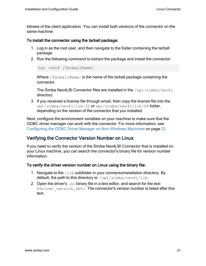bitness of the client application. You can install both versions of the connector on the same machine.

#### To install the connector using the tarball package:

- 1. Log in as the root user, and then navigate to the folder containing the tarball package.
- 2. Run the following command to extract the package and install the connector:

```
tar -zxvf [TarballName]
```
Where *[TarballName]* is the name of the tarball package containing the connector.

The Simba Neo4j BI Connector files are installed in the /opt/simba/neo4j directory.

3. If you received a license file through email, then copy the license file into the opt/simba/neo4j/lib/32 or opt/simba/neo4j/lib/64 folder, depending on the version of the connector that you installed.

Next, configure the environment variables on your machine to make sure that the ODBC driver manager can work with the connector. For more information, see Configuring the ODBC Driver Manager on [Non-Windows](#page-21-0) Machines on page 22.

# <span id="page-20-0"></span>Verifying the Connector Version Number on Linux

If you need to verify the version of the Simba Neo4j BI Connector that is installed on your Linux machine, you can search the connector's binary file for version number information.

#### To verify the driver version number on Linux using the binary file:

- 1. Navigate to the  $/11b$  subfolder in your connectorinstallation directory. By default, the path to this directory is:  $\sqrt{\frac{opt}{s}}$  imba/neo4 $\frac{1}{1}$ lib.
- 2. Open the driver's  $. s \circ b$  inary file in a text editor, and search for the text \$driver version sb\$:. The connector's version number is listed after this text.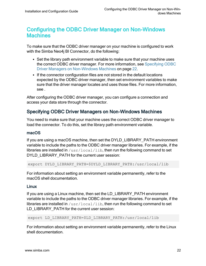# <span id="page-21-0"></span>Configuring the ODBC Driver Manager on Non-Windows **Machines**

To make sure that the ODBC driver manager on your machine is configured to work with the Simba Neo4j BI Connector, do the following:

- Set the library path environment variable to make sure that your machine uses the correct ODBC driver manager. For more information, see [Specifying](#page-21-1) ODBC Driver Managers on [Non-Windows](#page-21-1) Machines on page 22.
- If the connector configuration files are not stored in the default locations expected by the ODBC driver manager, then set environment variables to make sure that the driver manager locates and uses those files. For more information, see .

After configuring the ODBC driver manager, you can configure a connection and access your data store through the connector.

# <span id="page-21-1"></span>Specifying ODBC Driver Managers on Non-Windows Machines

You need to make sure that your machine uses the correct ODBC driver manager to load the connector. To do this, set the library path environment variable.

#### macOS

If you are using a macOS machine, then set the DYLD\_LIBRARY\_PATH environment variable to include the paths to the ODBC driver manager libraries. For example, if the libraries are installed in  $/usr/local/lib$ , then run the following command to set DYLD\_LIBRARY\_PATH for the current user session:

export DYLD\_LIBRARY\_PATH=\$DYLD\_LIBRARY\_PATH:/usr/local/lib

For information about setting an environment variable permanently, refer to the macOS shell documentation.

#### Linux

If you are using a Linux machine, then set the LD\_LIBRARY\_PATH environment variable to include the paths to the ODBC driver manager libraries. For example, if the libraries are installed in  $/usr/local/lib$ , then run the following command to set LD\_LIBRARY\_PATH for the current user session:

export LD\_LIBRARY\_PATH=\$LD\_LIBRARY\_PATH:/usr/local/lib

For information about setting an environment variable permanently, refer to the Linux shell documentation.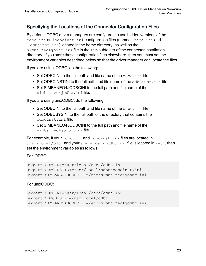# <span id="page-22-0"></span>Specifying the Locations of the Connector Configuration Files

By default, ODBC driver managers are configured to use hidden versions of the odbc.ini and odbcinst.ini configuration files (named .odbc.ini and .odbcinst.ini) located in the home directory, as well as the simba.neo4jodbc.ini file in the lib subfolder of the connector installation directory. If you store these configuration files elsewhere, then you must set the environment variables described below so that the driver manager can locate the files.

If you are using iODBC, do the following:

- $\bullet$  Set ODBCINI to the full path and file name of the  $\circ$ dbc.ini file.
- Set ODBCINSTINI to the full path and file name of the  $\alpha$ dbcinst.ini file.
- Set SIMBANEO4JODBCINI to the full path and file name of the simba.neo4jodbc.ini file.

If you are using unixODBC, do the following:

- Set ODBCINI to the full path and file name of the  $\text{ode.}\text{ini}$  file.
- Set ODBCSYSINI to the full path of the directory that contains the odbcinst.ini file.
- Set SIMBANEO4JODBCINI to the full path and file name of the simba.neo4jodbc.inifile.

For example, if your odbc.ini and odbcinst.ini files are located in /usr/local/odbc and your simba.neo4jodbc.ini file is located in /etc, then set the environment variables as follows:

#### For iODBC:

```
export ODBCINI=/usr/local/odbc/odbc.ini
export ODBCINSTINI=/usr/local/odbc/odbcinst.ini
export SIMBANEO4JODBCINI=/etc/simba.neo4jodbc.ini
```
#### For unixODBC:

```
export ODBCINI=/usr/local/odbc/odbc.ini
export ODBCSYSINI=/usr/local/odbc
export SIMBANEO4JODBCINI=/etc/simba.neo4jodbc.ini
```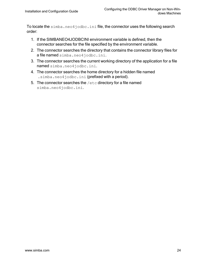To locate the simba.neo4jodbc.ini file, the connector uses the following search order:

- 1. If the SIMBANEO4JODBCINI environment variable is defined, then the connector searches for the file specified by the environment variable.
- 2. The connector searches the directory that contains the connector library files for a file named simba.neo4jodbc.ini.
- 3. The connector searches the current working directory of the application for a file named simba.neo4jodbc.ini.
- 4. The connector searches the home directory for a hidden file named .simba.neo4jodbc.ini (prefixed with a period).
- 5. The connector searches the /etc directory for a file named simba.neo4jodbc.ini.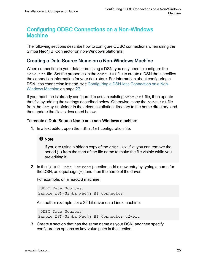# <span id="page-24-0"></span>Configuring ODBC Connections on a Non-Windows Machine

The following sections describe how to configure ODBC connections when using the Simba Neo4j BI Connector on non-Windows platforms:

# <span id="page-24-1"></span>Creating a Data Source Name on a Non-Windows Machine

When connecting to your data store using a DSN, you only need to configure the  $\circ$ dbc.ini file. Set the properties in the  $\circ$ dbc.ini file to create a DSN that specifies the connection information for your data store. For information about configuring a DSN-less connection instead, see [Configuring](#page-26-0) a DSN-less Connection on a Non-[Windows](#page-26-0) Machine on page 27.

If your machine is already configured to use an existing  $\text{ode.ini}$  file, then update that file by adding the settings described below. Otherwise, copy the odbc.ini file from the Setup subfolder in the driver installation directory to the home directory, and then update the file as described below.

#### To create a Data Source Name on a non-Windows machine:

1. In a text editor, open the  $\circ$ dbc. ini configuration file.

#### **f** Note:

If you are using a hidden copy of the  $\text{ode}.$  ini file, you can remove the period (.) from the start of the file name to make the file visible while you are editing it.

2. In the [ODBC Data Sources] section, add a new entry by typing a name for the DSN, an equal sign  $(=)$ , and then the name of the driver.

For example, on a macOS machine:

```
[ODBC Data Sources]
Sample DSN=Simba Neo4j BI Connector
```
As another example, for a 32-bit driver on a Linux machine:

```
[ODBC Data Sources]
Sample DSN=Simba Neo4j BI Connector 32-bit
```
3. Create a section that has the same name as your DSN, and then specify configuration options as key-value pairs in the section: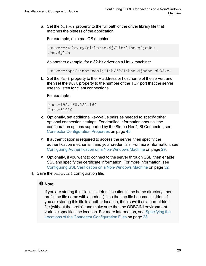a. Set the  $\text{Diriver}$  property to the full path of the driver library file that matches the bitness of the application.

For example, on a macOS machine:

```
Driver=/Library/simba/neo4j/lib/libneo4jodbc_
sbu.dylib
```
As another example, for a 32-bit driver on a Linux machine:

Driver=/opt/simba/neo4j/lib/32/libneo4jodbc\_sb32.so

b. Set the Host property to the IP address or host name of the server, and then set the Port property to the number of the TCP port that the server uses to listen for client connections.

For example:

```
Host=192.168.222.160
Port=31010
```
- c. Optionally, set additional key-value pairs as needed to specify other optional connection settings. For detailed information about all the configuration options supported by the Simba Neo4j BI Connector, see Connector [Configuration](#page-44-0) Properties on page 45.
- d. If authentication is required to access the server, then specify the authentication mechanism and your credentials. For more information, see Configuring [Authentication](#page-28-0) on a Non-Windows Machine on page 29.
- e. Optionally, if you want to connect to the server through SSL, then enable SSL and specify the certificate information. For more information, see Configuring SSL Verification on a [Non-Windows](#page-31-0) Machine on page 32.
- 4. Save the odbc.ini configuration file.

#### **f** Note:

If you are storing this file in its default location in the home directory, then prefix the file name with a period (.) so that the file becomes hidden. If you are storing this file in another location, then save it as a non-hidden file (without the prefix), and make sure that the ODBCINI environment variable specifies the location. For more information, see [Specifying](#page-22-0) the Locations of the Connector [Configuration](#page-22-0) Files on page 23.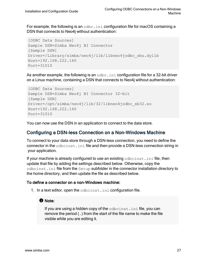For example, the following is an  $\text{ode}.$  ini configuration file for macOS containing a DSN that connects to Neo4j without authentication:

```
[ODBC Data Sources]
Sample DSN=Simba Neo4j BI Connector
[Sample DSN]
Driver=/Library/simba/neo4j/lib/libneo4jodbc_sbu.dylib
Host=192.168.222.160
Port=31010
```
As another example, the following is an  $\text{ode.ini}$  configuration file for a 32-bit driver on a Linux machine, containing a DSN that connects to Neo4j without authentication:

```
[ODBC Data Sources]
Sample DSN=Simba Neo4j BI Connector 32-bit
[Sample DSN]
Driver=/opt/simba/neo4j/lib/32/libneo4jodbc_sb32.so
Host=192.168.222.160
Port=31010
```
<span id="page-26-0"></span>You can now use the DSN in an application to connect to the data store.

### Configuring a DSN-less Connection on a Non-Windows Machine

To connect to your data store through a DSN-less connection, you need to define the connector in the odbcinst.ini file and then provide a DSN-less connection string in your application.

If your machine is already configured to use an existing odbcinst.ini file, then update that file by adding the settings described below. Otherwise, copy the odbcinst.ini file from the Setup subfolder in the connector installation directory to the home directory, and then update the file as described below.

#### To define a connector on a non-Windows machine:

1. In a text editor, open the odbcinst.ini configuration file.

#### **f** Note:

If you are using a hidden copy of the odbcinst.ini file, you can remove the period (.) from the start of the file name to make the file visible while you are editing it.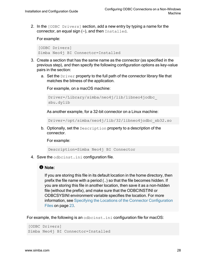2. In the [ODBC Drivers] section, add a new entry by typing a name for the connector, an equal sign  $(=)$ , and then Installed.

For example:

```
[ODBC Drivers]
Simba Neo4j BI Connector=Installed
```
- 3. Create a section that has the same name as the connector (as specified in the previous step), and then specify the following configuration options as key-value pairs in the section:
	- a. Set the  $Driver$  property to the full path of the connector library file that matches the bitness of the application.

For example, on a macOS machine:

```
Driver=/Library/simba/neo4j/lib/libneo4jodbc_
sbu.dylib
```
As another example, for a 32-bit connector on a Linux machine:

Driver=/opt/simba/neo4j/lib/32/libneo4jodbc\_sb32.so

b. Optionally, set the Description property to a description of the connector.

For example:

Description=Simba Neo4j BI Connector

4. Save the odbcinst.ini configuration file.

#### **f** Note:

If you are storing this file in its default location in the home directory, then prefix the file name with a period (.) so that the file becomes hidden. If you are storing this file in another location, then save it as a non-hidden file (without the prefix), and make sure that the ODBCINSTINI or ODBCSYSINI environment variable specifies the location. For more information, see Specifying the Locations of the Connector [Configuration](#page-22-0) Files on [page](#page-22-0) 23.

For example, the following is an odbcinst.ini configuration file for macOS:

```
[ODBC Drivers]
Simba Neo4j BI Connector=Installed
```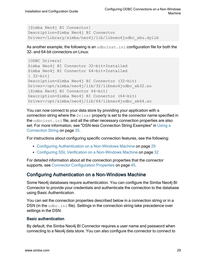```
[Simba Neo4j BI Connector]
Description=Simba Neo4j BI Connector
Driver=/Library/simba/neo4j/lib/libneo4jodbc_sbu.dylib
```
As another example, the following is an odbcinst.ini configuration file for both the 32- and 64-bit connectors on Linux:

```
[ODBC Drivers]
Simba Neo4j BI Connector 32-bit=Installed
Simba Neo4j BI Connector 64-bit=Installed
[ 32-bit]
Description=Simba Neo4j BI Connector (32-bit)
Driver=/opt/simba/neo4j/lib/32/libneo4jodbc_sb32.so
[Simba Neo4j BI Connector 64-bit]
Description=Simba Neo4j BI Connector (64-bit)
Driver=/opt/simba/neo4j/lib/64/libneo4jodbc_sb64.so
```
You can now connect to your data store by providing your application with a connection string where the  $Dirive$  property is set to the connector name specified in the odbcinst.ini file, and all the other necessary connection properties are also set. For more information, see "DSN-less Connection String Examples" in [Using](#page-34-0) a [Connection](#page-34-0) String on page 35.

For instructions about configuring specific connection features, see the following:

- Configuring [Authentication](#page-28-0) on a Non-Windows Machine on page 29
- Configuring SSL Verification on a [Non-Windows](#page-31-0) Machine on page 32

For detailed information about all the connection properties that the connector supports, see Connector [Configuration](#page-44-0) Properties on page 45.

# <span id="page-28-0"></span>Configuring Authentication on a Non-Windows Machine

Some Neo4j databases require authentication. You can configure the Simba Neo4j BI Connector to provide your credentials and authenticate the connection to the database using Basic Authentication.

You can set the connection properties described below in a connection string or in a DSN (in the odbc.ini file). Settings in the connection string take precedence over settings in the DSN.

#### Basic authentication

By default, the Simba Neo4j BI Connector requires a user name and password when connecting to a Neo4j data store. You can also configure the connector to connect to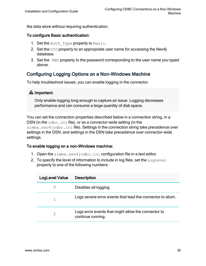the data store without requiring authentication.

#### To configure Basic authentication:

- 1. Set the Auth  $Type$  property to Basic.
- 2. Set the UID property to an appropriate user name for accessing the Neo4j database.
- 3. Set the PWD property to the password corresponding to the user name you typed above.

# <span id="page-29-0"></span>Configuring Logging Options on a Non-Windows Machine

To help troubleshoot issues, you can enable logging in the connector.

#### **A** Important:

Only enable logging long enough to capture an issue. Logging decreases performance and can consume a large quantity of disk space.

You can set the connection properties described below in a connection string, in a DSN (in the  $\text{odbc.ini}$  file), or as a connector-wide setting (in the simba.neo4jodbc.ini file). Settings in the connection string take precedence over settings in the DSN, and settings in the DSN take precedence over connector-wide settings.

#### To enable logging on a non-Windows machine:

- 1. Open the simba.neo4jodbc.ini configuration file in a text editor.
- 2. To specify the level of information to include in log files, set the  $LogLevel$ property to one of the following numbers:

| <b>LogLevel Value</b> | <b>Description</b>                                                       |
|-----------------------|--------------------------------------------------------------------------|
| 0                     | Disables all logging.                                                    |
|                       | Logs severe error events that lead the connector to abort.               |
| 2                     | Logs error events that might allow the connector to<br>continue running. |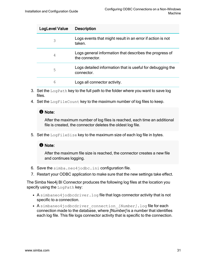| LogLevel Value | <b>Description</b>                                                        |
|----------------|---------------------------------------------------------------------------|
| 3              | Logs events that might result in an error if action is not<br>taken.      |
| 4              | Logs general information that describes the progress of<br>the connector. |
| 5              | Logs detailed information that is useful for debugging the<br>connector.  |
| 6              | Logs all connector activity.                                              |

- 3. Set the  $LogPath$  key to the full path to the folder where you want to save log files.
- 4. Set the LogFileCount key to the maximum number of log files to keep.

#### **f** Note:

After the maximum number of log files is reached, each time an additional file is created, the connector deletes the oldest log file.

5. Set the  $LogFilesize$  key to the maximum size of each log file in bytes.

#### **f** Note:

After the maximum file size is reached, the connector creates a new file and continues logging.

- 6. Save the simba.neo4jodbc.ini configuration file.
- 7. Restart your ODBC application to make sure that the new settings take effect.

The Simba Neo4j BI Connector produces the following log files at the location you specify using the LogPath key:

- A simbaneo4jodbcdriver.log file that logs connector activity that is not specific to a connection.
- A simbaneo4jodbcdriver connection *[Number]*.log file for each connection made to the database, where [Number] is a number that identifies each log file. This file logs connector activity that is specific to the connection.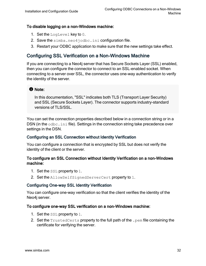#### To disable logging on a non-Windows machine:

- 1. Set the LogLevel key to 0.
- 2. Save the simba.neo4jodbc.ini configuration file.
- 3. Restart your ODBC application to make sure that the new settings take effect.

# <span id="page-31-0"></span>Configuring SSL Verification on a Non-Windows Machine

If you are connecting to a Neo4j server that has Secure Sockets Layer (SSL) enabled, then you can configure the connector to connect to an SSL-enabled socket. When connecting to a server over SSL, the connector uses one-way authentication to verify the identity of the server.

#### **f** Note:

In this documentation, "SSL" indicates both TLS (Transport Layer Security) and SSL (Secure Sockets Layer). The connector supports industry-standard versions of TLS/SSL.

You can set the connection properties described below in a connection string or in a DSN (in the odbc.ini file). Settings in the connection string take precedence over settings in the DSN.

#### Configuring an SSL Connection without Identity Verification

You can configure a connection that is encrypted by SSL but does not verify the identity of the client or the server.

#### To configure an SSL Connection without Identity Verification on a non-Windows machine:

- 1. Set the SSL property to 1.
- 2. Set the AllowSelfSignedServerCert property to 1.

#### Configuring One-way SSL Identity Verification

You can configure one-way verification so that the client verifies the identity of the Neo4j server.

#### To configure one-way SSL verification on a non-Windows machine:

- 1. Set the SSL property to 1.
- 2. Set the  $TrustedCerts$  property to the full path of the .  $pem$  file containing the certificate for verifying the server.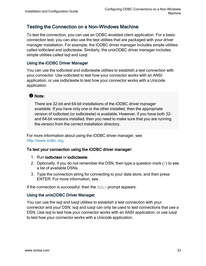# <span id="page-32-0"></span>Testing the Connection on a Non-Windows Machine

To test the connection, you can use an ODBC-enabled client application. For a basic connection test, you can also use the test utilities that are packaged with your driver manager installation. For example, the iODBC driver manager includes simple utilities called iodbctest and iodbctestw. Similarly, the unixODBC driver manager includes simple utilities called isql and iusql.

#### Using the iODBC Driver Manager

You can use the iodbctest and iodbctestw utilities to establish a test connection with your connector. Use iodbctest to test how your connector works with an ANSI application, or use iodbctestw to test how your connector works with a Unicode application.

# **f** Note:

There are 32-bit and 64-bit installations of the iODBC driver manager available. If you have only one or the other installed, then the appropriate version of iodbctest (or iodbctestw) is available. However, if you have both 32 and 64-bit versions installed, then you need to make sure that you are running the version from the correct installation directory.

For more information about using the iODBC driver manager, see [http://www.iodbc.org](http://www.iodbc.org/).

#### To test your connection using the iODBC driver manager:

- 1. Run iodbctest or iodbctestw.
- 2. Optionally, if you do not remember the DSN, then type a question mark (?) to see a list of available DSNs.
- 3. Type the connection string for connecting to your data store, and then press ENTER. For more information, see .

If the connection is successful, then the  $\text{SQL}$  prompt appears.

#### Using the unixODBC Driver Manager

You can use the isql and iusql utilities to establish a test connection with your connector and your DSN. isql and iusql can only be used to test connections that use a DSN. Use isql to test how your connector works with an ANSI application, or use iusql to test how your connector works with a Unicode application.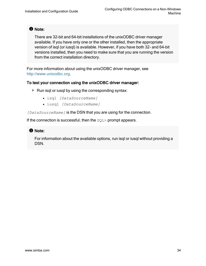**f** Note:

There are 32-bit and 64-bit installations of the unixODBC driver manager available. If you have only one or the other installed, then the appropriate version of isql (or iusql) is available. However, if you have both 32- and 64-bit versions installed, then you need to make sure that you are running the version from the correct installation directory.

For more information about using the unixODBC driver manager, see [http://www.unixodbc.org.](http://www.unixodbc.org/)

#### To test your connection using the unixODBC driver manager:

- $\blacktriangleright$  Run isql or iusql by using the corresponding syntax:
	- <sup>l</sup> isql *[DataSourceName]*
	- <sup>l</sup> iusql *[DataSourceName]*

*[DataSourceName]* is the DSN that you are using for the connection.

If the connection is successful, then the  $\text{SQL}$  prompt appears.

#### **f** Note:

For information about the available options, run isql or iusql without providing a DSN.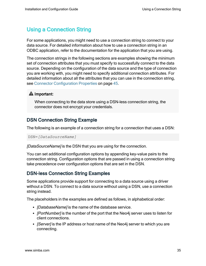# <span id="page-34-0"></span>Using a Connection String

For some applications, you might need to use a connection string to connect to your data source. For detailed information about how to use a connection string in an ODBC application, refer to the documentation for the application that you are using.

The connection strings in the following sections are examples showing the minimum set of connection attributes that you must specify to successfully connect to the data source. Depending on the configuration of the data source and the type of connection you are working with, you might need to specify additional connection attributes. For detailed information about all the attributes that you can use in the connection string, see Connector [Configuration](#page-44-0) Properties on page 45.

# **A** Important:

When connecting to the data store using a DSN-less connection string, the connector does not encrypt your credentials.

# <span id="page-34-1"></span>DSN Connection String Example

The following is an example of a connection string for a connection that uses a DSN:

DSN=*[DataSourceName]*

[DataSourceName] is the DSN that you are using for the connection.

You can set additional configuration options by appending key-value pairs to the connection string. Configuration options that are passed in using a connection string take precedence over configuration options that are set in the DSN.

# <span id="page-34-2"></span>DSN-less Connection String Examples

Some applications provide support for connecting to a data source using a driver without a DSN. To connect to a data source without using a DSN, use a connection string instead.

The placeholders in the examples are defined as follows, in alphabetical order:

- *[DatabaseName]* is the name of the database service.
- *[PortNumber]* is the number of the port that the Neo4j server uses to listen for client connections.
- *[Server]* is the IP address or host name of the Neo4j server to which you are connecting.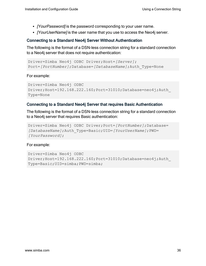- [YourPassword] is the password corresponding to your user name.
- *[YourUserName]* is the user name that you use to access the Neo4j server.

#### Connecting to a Standard Neo4j Server Without Authentication

The following is the format of a DSN-less connection string for a standard connection to a Neo4j server that does not require authentication:

```
Driver=Simba Neo4j ODBC Driver;Host=[Server];
Port=[PortNumber];Database=[DatabaseName];Auth_Type=None
```
For example:

```
Driver=Simba Neo4j ODBC
Driver;Host=192.168.222.160;Port=31010;Database=neo4j;Auth_
Type=None
```
#### Connecting to a Standard Neo4j Server that requires Basic Authentication

The following is the format of a DSN-less connection string for a standard connection to a Neo4j server that requires Basic authentication:

```
Driver=Simba Neo4j ODBC Driver;Port=[PortNumber];Database=
[DatabaseName];Auth_Type=Basic;UID=[YourUserName];PWD=
[YourPassword];
```
For example:

```
Driver=Simba Neo4j ODBC
Driver;Host=192.168.222.160;Port=31010;Database=neo4j;Auth_
Type=Basic;UID=simba;PWD=simba;
```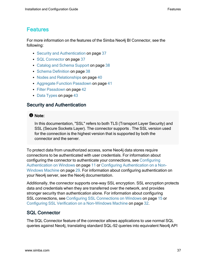# <span id="page-36-0"></span>Features

For more information on the features of the Simba Neo4j BI Connector, see the following:

- Security and [Authentication](#page-36-1) on page 37
- SQL [Connector](#page-36-2) on page 37
- Catalog and [Schema](#page-37-0) Support on page 38
- Schema [Definition](#page-37-1) on page 38
- Nodes and [Relationships](#page-39-0) on page 40
- Aggregate Function [Passdown](#page-40-0) on page 41
- Filter [Passdown](#page-41-0) on page 42
- Data [Types](#page-42-0) on page 43

# <span id="page-36-1"></span>Security and Authentication

# **f** Note:

In this documentation, "SSL" refers to both TLS (Transport Layer Security) and SSL (Secure Sockets Layer). The connector supports . The SSL version used for the connection is the highest version that is supported by both the connector and the server.

To protect data from unauthorized access, some Neo4j data stores require connections to be authenticated with user credentials. For information about configuring the connector to authenticate your connections, see [Configuring](#page-10-0) [Authentication](#page-10-0) on Windows on page 11 or Configuring [Authentication](#page-28-0) on a Non-[Windows](#page-28-0) Machine on page 29. For information about configuring authentication on your Neo4j server, see the Neo4j documentation.

Additionally, the connector supports one-way SSL encryption. SSL encryption protects data and credentials when they are transferred over the network, and provides stronger security than authentication alone. For information about configuring SSL connections, see Configuring SSL [Connections](#page-14-0) on Windows on page 15 or Configuring SSL Verification on a [Non-Windows](#page-31-0) Machine on page 32.

# <span id="page-36-2"></span>SQL Connector

The SQL Connector feature of the connector allows applications to use normal SQL queries against Neo4j, translating standard SQL-92 queries into equivalent Neo4j API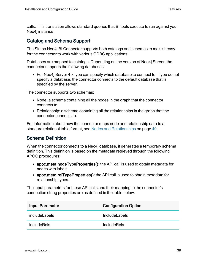calls. This translation allows standard queries that BI tools execute to run against your Neo4j instance.

# <span id="page-37-0"></span>Catalog and Schema Support

The Simba Neo4j BI Connector supports both catalogs and schemas to make it easy for the connector to work with various ODBC applications.

Databases are mapped to catalogs. Depending on the version of Neo4j Server, the connector supports the following databases:

• For Neo4j Server 4.x, you can specify which database to connect to. If you do not specify a database, the connector connects to the default database that is specified by the server.

The connector supports two schemas:

- Node: a schema containing all the nodes in the graph that the connector connects to.
- $\bullet$  Relationship: a schema containing all the relationships in the graph that the connector connects to.

For information about how the connector maps node and relationship data to a standard relational table format, see Nodes and [Relationships](#page-39-0) on page 40.

# <span id="page-37-1"></span>Schema Definition

When the connector connects to a Neo4j database, it generates a temporary schema definition. This definition is based on the metadata retrieved through the following APOC procedures:

- apoc.meta.nodeTypeProperties(): the API call is used to obtain metadata for nodes with labels.
- apoc.meta.relTypeProperties(): the API call is used to obtain metadata for relationship types.

The input parameters for these API calls and their mapping to the connector's connection string properties are as defined in the table below:

| <b>Input Parameter</b> | <b>Configuration Option</b> |
|------------------------|-----------------------------|
| <i>includeLabels</i>   | <b>IncludeLabels</b>        |
| <i>includeRels</i>     | <b>IncludeRels</b>          |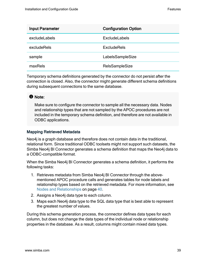| <b>Input Parameter</b> | <b>Configuration Option</b> |
|------------------------|-----------------------------|
| excludeLabels          | <b>ExcludeLabels</b>        |
| excludeRels            | <b>ExcludeRels</b>          |
| sample                 | LabelsSampleSize            |
| maxRels                | <b>RelsSampleSize</b>       |

Temporary schema definitions generated by the connector do not persist after the connection is closed. Also, the connector might generate different schema definitions during subsequent connections to the same database.

# **ft** Note:

Make sure to configure the connector to sample all the necessary data. Nodes and relationship types that are not sampled by the APOC procedures are not included in the temporary schema definition, and therefore are not available in ODBC applications.

#### Mapping Retrieved Metadata

Neo4j is a graph database and therefore does not contain data in the traditional, relational form. Since traditional ODBC toolsets might not support such datasets, the Simba Neo4j BI Connector generates a schema definition that maps the Neo4j data to a ODBC-compatible format.

When the Simba Neo4j BI Connector generates a schema definition, it performs the following tasks:

- 1. Retrieves metadata from Simba Neo4j BI Connector through the abovementioned APOC procedure calls and generates tables for node labels and relationship types based on the retrieved metadata. For more information, see Nodes and [Relationships](#page-39-0) on page 40.
- 2. Assigns a Neo4j data type to each column.
- 3. Maps each Neo4j data type to the SQL data type that is best able to represent the greatest number of values.

During this schema generation process, the connector defines data types for each column, but does not change the data types of the individual node or relationship properties in the database. As a result, columns might contain mixed data types.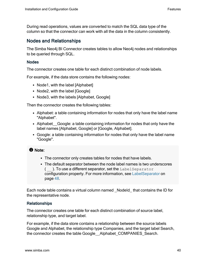During read operations, values are converted to match the SQL data type of the column so that the connector can work with all the data in the column consistently.

# <span id="page-39-0"></span>Nodes and Relationships

The Simba Neo4j BI Connector creates tables to allow Neo4j nodes and relationships to be queried through SQL.

#### Nodes

The connector creates one table for each distinct combination of node labels.

For example, if the data store contains the following nodes:

- Node1, with the label  $[Alphabet]$
- Node2, with the label [Google]
- Node3, with the labels [Alphabet, Google]

Then the connector creates the following tables:

- Alphabet: a table containing information for nodes that only have the label name "Alphabet".
- Alphabet Google: a table containing information for nodes that only have the label names [Alphabet, Google] or [Google, Alphabet].
- Google: a table containing information for nodes that only have the label name "Google".

# **O** Note:

- The connector only creates tables for nodes that have labels.
- The default separator between the node label names is two underscores  $($   $)$ . To use a different separator, set the LabelSeparator configuration property. For more information, see [LabelSeparator](#page-47-0) on [page](#page-47-0) 48.

Each node table contains a virtual column named \_NodeId\_ that contains the ID for the representative node.

#### Relationships

The connector creates one table for each distinct combination of source label, relationship type, and target label.

For example, if the data store contains a relationship between the source labels Google and Alphabet, the relationship type Companies, and the target label Search, the connector creates the table Google Alphabet COMPANIES Search.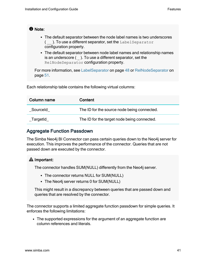# **f** Note:

- The default separator between the node label names is two underscores  $($   $)$ . To use a different separator, set the LabelSeparator configuration property.
- The default separator between node label names and relationship names is an underscore ( \_ ). To use a different separator, set the RelNodeSeparator configuration property.

For more information, see [LabelSeparator](#page-47-0) on page 48 or [RelNodeSeparator](#page-50-0) on [page](#page-50-0) 51.

Each relationship table contains the following virtual columns:

| Column name | Content                                     |
|-------------|---------------------------------------------|
| Sourceld    | The ID for the source node being connected. |
| _TargetId_  | The ID for the target node being connected. |

# <span id="page-40-0"></span>Aggregate Function Passdown

The Simba Neo4j BI Connector can pass certain queries down to the Neo4j server for execution. This improves the performance of the connector. Queries that are not passed down are executed by the connector.

# **A** Important:

The connector handles SUM(NULL) differently from the Neo4j server.

- The connector returns NULL for SUM(NULL)
- The Neo4j server returns 0 for SUM(NULL)

This might result in a discrepancy between queries that are passed down and queries that are resolved by the connector.

The connector supports a limited aggregate function passdown for simple queries. It enforces the following limitations:

• The supported expressions for the argument of an aggregate function are column references and literals.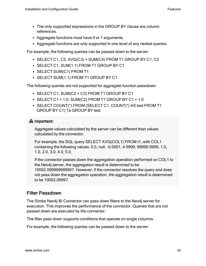- The only supported expressions in the GROUP BY clause are column references.
- Aggregate functions must have 0 or 1 arguments.
- Aggregate functions are only supported in one level of any nested queries.

For example, the following queries can be passed down to the server:

- $\bullet$  SELECT C1, C2, AVG(C3) + SUM(C4) FROM T1 GROUP BY C1, C2
- SELECT C1, SUM(1.1) FROM T1 GROUP BY C1
- SELECT SUM(C1) FROM T1
- SELECT SUM(1.1) FROM T1 GROUP BY C1

The following queries are not supported for aggregate function passdown:

- SELECT C1, SUM(C2 + C3) FROM T1 GROUP BY C1
- $\cdot$  SELECT C1 + 1.0, SUM(C2) FROM T1 GROUP BY C1 + 1.0
- SELECT COUNT(\*) FROM (SELECT C1, COUNT(\*) AS test FROM T1 GROUP BY C1) Ta GROUP BY test

# **A** Important:

Aggregate values calculated by the server can be different than values calculated by the connector.

For example, the SQL query SELECT AVG(COL1) FROM t1, with COL1 containing the following values: 0.0, null, -0.0001, 4.9999, 99999.9999, 1.0, 1.0, 2.0, 3.0, 4.0, 5.0.

If the connector passes down the aggregation operation performed on COL1 to the Neo4j server, the aggregation result is determined to be 10002.099969999997. However, if the connector resolves the query and does not pass down the aggregation operation, the aggregation result is determined to be 10002.09997.

# <span id="page-41-0"></span>Filter Passdown

The Simba Neo4j BI Connector can pass down filters to the Neo4j server for execution. This improves the performance of the connector. Queries that are not passed down are executed by the connector.

The filter pass down supports conditions that operate on single columns.

For example, the following queries can be passed down to the server: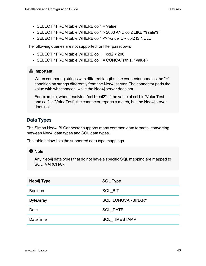- $\cdot$  SELECT  $*$  FROM table WHERE col1 = 'value'
- <sup>l</sup> SELECT \* FROM table WHERE col1 > 2000 AND col2 LIKE '%sale%'
- SELECT \* FROM table WHERE col1 <> 'value' OR col2 IS NULL

The following queries are not supported for filter passdown:

- SELECT \* FROM table WHERE col1 + col2 < 200
- SELECT  $*$  FROM table WHERE col1 = CONCAT('this', ' value')

# **A** Important:

When comparing strings with different lengths, the connector handles the "=" condition on strings differently from the Neo4j server. The connector pads the value with whitespaces, while the Neo4j server does not.

For example, when resolving "col1=col2", if the value of col1 is 'ValueTest and col2 is 'ValueTest', the connector reports a match, but the Neo4j server does not.

# <span id="page-42-0"></span>Data Types

The Simba Neo4j BI Connector supports many common data formats, converting between Neo4j data types and SQL data types.

The table below lists the supported data type mappings.

# **f** Note:

Any Neo4j data types that do not have a specific SQL mapping are mapped to SQL\_VARCHAR.

| Neo4j Type       | <b>SQL Type</b>          |
|------------------|--------------------------|
| <b>Boolean</b>   | SQL BIT                  |
| <b>ByteArray</b> | <b>SQL LONGVARBINARY</b> |
| Date             | <b>SQL DATE</b>          |
| <b>DateTime</b>  | SQL_TIMESTAMP            |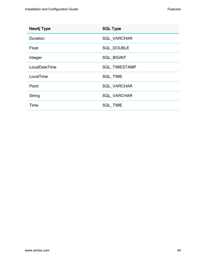| Neo4j Type    | <b>SQL Type</b>      |
|---------------|----------------------|
| Duration      | <b>SQL VARCHAR</b>   |
| Float         | <b>SQL DOUBLE</b>    |
| Integer       | <b>SQL BIGINT</b>    |
| LocalDateTime | <b>SQL TIMESTAMP</b> |
| LocalTime     | <b>SQL TIME</b>      |
| Point         | <b>SQL VARCHAR</b>   |
| String        | <b>SQL VARCHAR</b>   |
| Time          | <b>SQL TIME</b>      |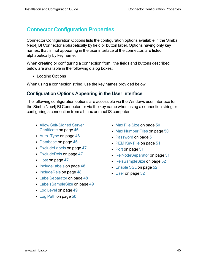# <span id="page-44-0"></span>Connector Configuration Properties

Connector Configuration Options lists the configuration options available in the Simba Neo4j BI Connector alphabetically by field or button label. Options having only key names, that is, not appearing in the user interface of the connector, are listed alphabetically by key name.

When creating or configuring a connection from , the fields and buttons described below are available in the following dialog boxes:

• Logging Options

<span id="page-44-1"></span>When using a connection string, use the key names provided below.

# Configuration Options Appearing in the User Interface

The following configuration options are accessible via the Windows user interface for the Simba Neo4j BI Connector, or via the key name when using a connection string or configuring a connection from a Linux or macOS computer:

- Allow [Self-Signed](#page-45-0) Server [Certificate](#page-45-0) on page 46
- Auth Type on page  $46$
- [Database](#page-45-2) on page 46
- [ExcludeLabels](#page-46-0) on page 47
- [ExcludeRels](#page-46-1) on page 47
- $\cdot$  Host on [page](#page-46-2) 47
- [IncludeLabels](#page-47-1) on page 48
- [IncludeRels](#page-47-2) on page 48
- [LabelSeparator](#page-47-0) on page 48
- [LabelsSampleSize](#page-48-0) on page 49
- Log [Level](#page-48-1) on page 49
- Log Path on [page](#page-49-0) 50
- [Max File](#page-49-1) Size on page 50
- [Max Number](#page-49-2) Files on page 50
- [Password](#page-50-1) on page 51
- [PEM Key](#page-50-2) File on page 51
- Port on [page](#page-50-3) 51
- [RelNodeSeparator](#page-50-0) on page 51
- [RelsSampleSize](#page-51-1) on page 52
- [Enable](#page-51-2) SSL on page 52
- User on [page](#page-51-3) 52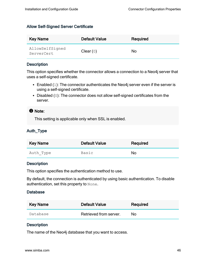#### <span id="page-45-0"></span>Allow Self-Signed Server Certificate

| <b>Key Name</b>               | <b>Default Value</b> | Required |
|-------------------------------|----------------------|----------|
| AllowSelfSigned<br>ServerCert | Clear $(0)$          | No       |

#### **Description**

This option specifies whether the connector allows a connection to a Neo4j server that uses a self-signed certificate.

- Enabled  $(1)$ : The connector authenticates the Neo4j server even if the server is using a self-signed certificate.
- Disabled  $(0)$ : The connector does not allow self-signed certificates from the server.

#### **O** Note:

This setting is applicable only when SSL is enabled.

# <span id="page-45-1"></span>Auth\_Type

| <b>Key Name</b> | <b>Default Value</b> | Required |
|-----------------|----------------------|----------|
| Auth_Type       | Basic                | No       |

#### **Description**

This option specifies the authentication method to use.

By default, the connection is authenticated by using basic authentication. To disable authentication, set this property to None.

#### <span id="page-45-2"></span>**Database**

| <b>Key Name</b> | <b>Default Value</b>   | Required |
|-----------------|------------------------|----------|
| Database        | Retrieved from server. | N٥       |

#### **Description**

The name of the Neo4j database that you want to access.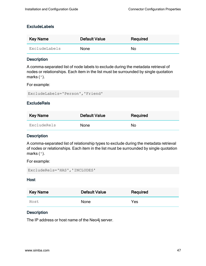#### <span id="page-46-0"></span>**ExcludeLabels**

| Key Name      | <b>Default Value</b> | Required  |
|---------------|----------------------|-----------|
| ExcludeLabels | <b>None</b>          | <b>No</b> |

#### **Description**

A comma-separated list of node labels to exclude during the metadata retrieval of nodes or relationships. Each item in the list must be surrounded by single quotation marks (').

For example:

<span id="page-46-1"></span>ExcludeLabels='Person','Friend'

#### **ExcludeRels**

| <b>Key Name</b> | <b>Default Value</b> | Required |
|-----------------|----------------------|----------|
| ExcludeRels     | <b>None</b>          | No       |

#### **Description**

A comma-separated list of relationship types to exclude during the metadata retrieval of nodes or relationships. Each item in the list must be surrounded by single quotation marks (').

For example:

```
ExcludeRels='HAS','INCLUDES'
```
#### **Host**

| <b>Key Name</b> | <b>Default Value</b> | Required |
|-----------------|----------------------|----------|
| Host            | None                 | Yes      |

#### **Description**

The IP address or host name of the Neo4j server.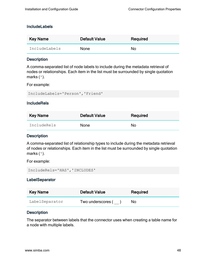#### <span id="page-47-1"></span>IncludeLabels

| Key Name      | <b>Default Value</b> | Required  |
|---------------|----------------------|-----------|
| IncludeLabels | <b>None</b>          | <b>No</b> |

#### **Description**

A comma-separated list of node labels to include during the metadata retrieval of nodes or relationships. Each item in the list must be surrounded by single quotation marks (').

For example:

<span id="page-47-2"></span>IncludeLabels='Person','Friend'

#### **IncludeRels**

| <b>Key Name</b> | <b>Default Value</b> | Required |
|-----------------|----------------------|----------|
| IncludeRels     | <b>None</b>          | No       |

#### **Description**

A comma-separated list of relationship types to include during the metadata retrieval of nodes or relationships. Each item in the list must be surrounded by single quotation marks (').

For example:

```
IncludeRels='HAS','INCLUDES'
```
#### **LabelSeparator**

| <b>Key Name</b> | <b>Default Value</b> | Required |
|-----------------|----------------------|----------|
| LabelSeparator  | Two underscores (    | No       |

#### **Description**

The separator between labels that the connector uses when creating a table name for a node with multiple labels.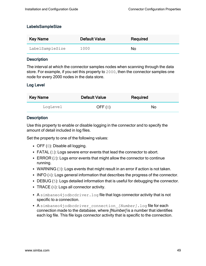#### <span id="page-48-0"></span>LabelsSampleSize

| Key Name        | <b>Default Value</b> | Required |
|-----------------|----------------------|----------|
| LabelSampleSize | 1000                 | No       |

#### **Description**

The interval at which the connector samples nodes when scanning through the data store. For example, if you set this property to 2000, then the connector samples one node for every 2000 nodes in the data store.

#### <span id="page-48-1"></span>Log Level

| <b>Key Name</b> | <b>Default Value</b> | Required  |
|-----------------|----------------------|-----------|
| LogLevel        | OFF $(0)$            | <b>No</b> |

#### **Description**

Use this property to enable or disable logging in the connector and to specify the amount of detail included in log files.

Set the property to one of the following values:

- OFF  $(0)$ : Disable all logging.
- FATAL  $(1)$ : Logs severe error events that lead the connector to abort.
- **ERROR** (2): Logs error events that might allow the connector to continue running.
- WARNING  $(3)$ : Logs events that might result in an error if action is not taken.
- INFO  $(4)$ : Logs general information that describes the progress of the connector.
- DEBUG  $(5)$ : Logs detailed information that is useful for debugging the connector.
- TRACE  $(6)$ : Logs all connector activity.
- A simbaneo4jodbcdriver.log file that logs connector activity that is not specific to a connection.
- A simbaneo4jodbcdriver connection [Number].log file for each connection made to the database, where [Number] is a number that identifies each log file. This file logs connector activity that is specific to the connection.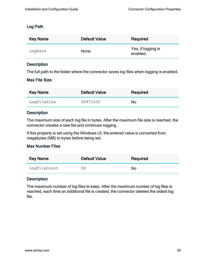#### <span id="page-49-0"></span>Log Path

| <b>Key Name</b> | <b>Default Value</b> | Required                       |
|-----------------|----------------------|--------------------------------|
| LogPath         | None                 | Yes, if logging is<br>enabled. |

#### Description

<span id="page-49-1"></span>The full path to the folder where the connector saves log files when logging is enabled.

#### Max File Size

| Key Name    | <b>Default Value</b> | Required  |
|-------------|----------------------|-----------|
| LogFileSize | 20971520             | <b>No</b> |

#### **Description**

The maximum size of each log file in bytes. After the maximum file size is reached, the connector creates a new file and continues logging.

If this property is set using the Windows UI, the entered value is converted from megabytes (MB) to bytes before being set.

#### <span id="page-49-2"></span>Max Number Files

| <b>Key Name</b> | <b>Default Value</b> | Required |
|-----------------|----------------------|----------|
| LogFileCount    | 50                   | No       |

#### **Description**

The maximum number of log files to keep. After the maximum number of log files is reached, each time an additional file is created, the connector deletes the oldest log file.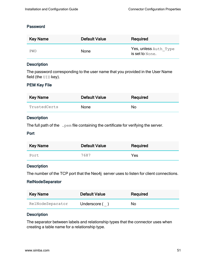#### <span id="page-50-1"></span>Password

| <b>Key Name</b> | <b>Default Value</b> | Required                                 |
|-----------------|----------------------|------------------------------------------|
| PWD             | <b>None</b>          | Yes, unless Auth Type<br>is set to None. |

#### Description

The password corresponding to the user name that you provided in the User Name field (the  $UID$  key).

#### <span id="page-50-2"></span>PEM Key File

| <b>Key Name</b> | <b>Default Value</b> | Required |
|-----------------|----------------------|----------|
| TrustedCerts    | <b>None</b>          | No       |

#### **Description**

<span id="page-50-3"></span>The full path of the  $\cdot$  pem file containing the certificate for verifying the server.

#### Port

| <b>Key Name</b> | <b>Default Value</b> | Required |
|-----------------|----------------------|----------|
| Port            | 7687                 | Yes      |

#### **Description**

<span id="page-50-0"></span>The number of the TCP port that the Neo4j server uses to listen for client connections.

#### **RelNodeSeparator**

| <b>Key Name</b>  | <b>Default Value</b> | Required |
|------------------|----------------------|----------|
| RelNodeSeparator | Underscore ()        | No.      |

#### **Description**

The separator between labels and relationship types that the connector uses when creating a table name for a relationship type.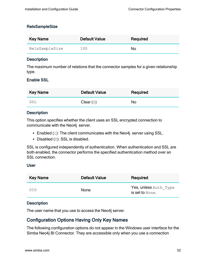#### <span id="page-51-1"></span>**RelsSampleSize**

| Key Name       | <b>Default Value</b> | Required |
|----------------|----------------------|----------|
| RelsSampleSize | 100                  | No       |

#### **Description**

The maximum number of relations that the connector samples for a given relationship type.

#### <span id="page-51-2"></span>Enable SSL

| <b>Key Name</b> | <b>Default Value</b> | Required |
|-----------------|----------------------|----------|
| SSL             | Clear(0)             | No       |

#### **Description**

This option specifies whether the client uses an SSL encrypted connection to communicate with the Neo4j server.

- Enabled  $(1)$ : The client communicates with the Neo4j server using SSL.
- Disabled  $(0)$ : SSL is disabled.

SSL is configured independently of authentication. When authentication and SSL are both enabled, the connector performs the specified authentication method over an SSL connection.

#### <span id="page-51-3"></span>User

| <b>Key Name</b> | <b>Default Value</b> | Required                                 |
|-----------------|----------------------|------------------------------------------|
| UTD             | <b>None</b>          | Yes, unless Auth Type<br>is set to None. |

#### **Description**

<span id="page-51-0"></span>The user name that you use to access the Neo4j server.

# Configuration Options Having Only Key Names

The following configuration options do not appear in the Windows user interface for the Simba Neo4j BI Connector. They are accessible only when you use a connection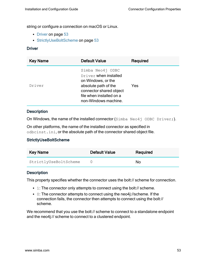string or configure a connection on macOS or Linux.

- [Driver](#page-52-0) on page 53
- [StrictlyUseBoltScheme](#page-52-1) on page 53

#### <span id="page-52-0"></span>**Driver**

| <b>Key Name</b> | <b>Default Value</b>                                                                                                                                                   | Required   |
|-----------------|------------------------------------------------------------------------------------------------------------------------------------------------------------------------|------------|
| Driver          | Simba Neo4j ODBC<br>Driver when installed<br>on Windows, or the<br>absolute path of the<br>connector shared object<br>file when installed on a<br>non-Windows machine. | <b>Yes</b> |

#### **Description**

On Windows, the name of the installed connector  $(\text{Simba }\text{Neo4j }$  ODBC Driver;).

On other platforms, the name of the installed connector as specified in odbcinst.ini, or the absolute path of the connector shared object file.

#### <span id="page-52-1"></span>StrictlyUseBoltScheme

| <b>Key Name</b>       | <b>Default Value</b> | Required |
|-----------------------|----------------------|----------|
| StrictlyUseBoltScheme |                      | N٥       |

#### **Description**

This property specifies whether the connector uses the bolt:// scheme for connection.

- 1: The connector only attempts to connect using the bolt:// scheme.
- $\bullet$  0: The connector attempts to connect using the neo4j://scheme. If the connection fails, the connector then attempts to connect using the bolt:// scheme.

We recommend that you use the bolt:// scheme to connect to a standalone endpoint and the neo4j:// scheme to connect to a clustered endpoint.